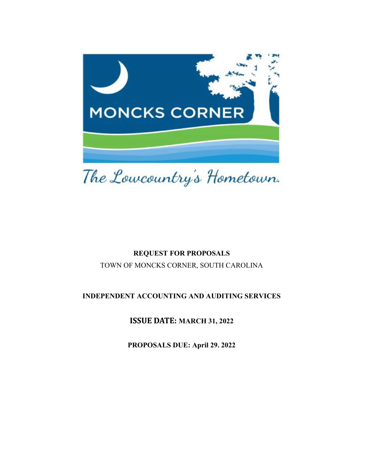

# REQUEST FOR PROPOSALS

TOWN OF MONCKS CORNER, SOUTH CAROLINA

# INDEPENDENT ACCOUNTING AND AUDITING SERVICES

ISSUE DATE: MARCH 31, 2022

PROPOSALS DUE: April 29. 2022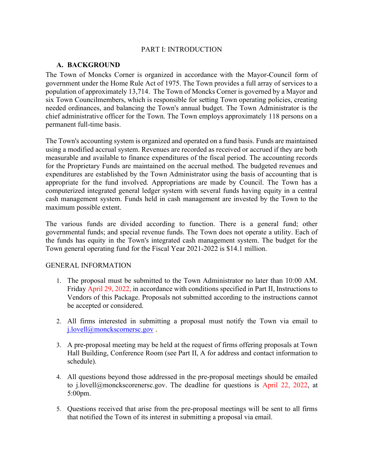### PART I: INTRODUCTION

#### A. BACKGROUND

The Town of Moncks Corner is organized in accordance with the Mayor-Council form of government under the Home Rule Act of 1975. The Town provides a full array of services to a population of approximately 13,714. The Town of Moncks Corner is governed by a Mayor and six Town Councilmembers, which is responsible for setting Town operating policies, creating needed ordinances, and balancing the Town's annual budget. The Town Administrator is the chief administrative officer for the Town. The Town employs approximately 118 persons on a permanent full-time basis.

The Town's accounting system is organized and operated on a fund basis. Funds are maintained using a modified accrual system. Revenues are recorded as received or accrued if they are both measurable and available to finance expenditures of the fiscal period. The accounting records for the Proprietary Funds are maintained on the accrual method. The budgeted revenues and expenditures are established by the Town Administrator using the basis of accounting that is appropriate for the fund involved. Appropriations are made by Council. The Town has a computerized integrated general ledger system with several funds having equity in a central cash management system. Funds held in cash management are invested by the Town to the maximum possible extent.

The various funds are divided according to function. There is a general fund; other governmental funds; and special revenue funds. The Town does not operate a utility. Each of the funds has equity in the Town's integrated cash management system. The budget for the Town general operating fund for the Fiscal Year 2021-2022 is \$14.1 million.

#### GENERAL INFORMATION

- 1. The proposal must be submitted to the Town Administrator no later than 10:00 AM. Friday April 29, 2022, in accordance with conditions specified in Part II, Instructions to Vendors of this Package. Proposals not submitted according to the instructions cannot be accepted or considered.
- 2. All firms interested in submitting a proposal must notify the Town via email to j.lovell@monckscornersc.gov.
- 3. A pre-proposal meeting may be held at the request of firms offering proposals at Town Hall Building, Conference Room (see Part II, A for address and contact information to schedule).
- 4. All questions beyond those addressed in the pre-proposal meetings should be emailed to j.lovell@monckscorenersc.gov. The deadline for questions is April 22, 2022, at 5:00pm.
- 5. Questions received that arise from the pre-proposal meetings will be sent to all firms that notified the Town of its interest in submitting a proposal via email.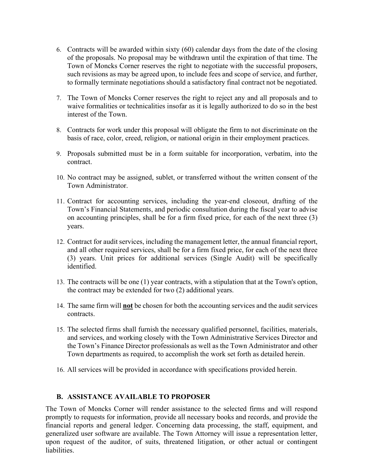- 6. Contracts will be awarded within sixty (60) calendar days from the date of the closing of the proposals. No proposal may be withdrawn until the expiration of that time. The Town of Moncks Corner reserves the right to negotiate with the successful proposers, such revisions as may be agreed upon, to include fees and scope of service, and further, to formally terminate negotiations should a satisfactory final contract not be negotiated.
- 7. The Town of Moncks Corner reserves the right to reject any and all proposals and to waive formalities or technicalities insofar as it is legally authorized to do so in the best interest of the Town.
- 8. Contracts for work under this proposal will obligate the firm to not discriminate on the basis of race, color, creed, religion, or national origin in their employment practices.
- 9. Proposals submitted must be in a form suitable for incorporation, verbatim, into the contract.
- 10. No contract may be assigned, sublet, or transferred without the written consent of the Town Administrator.
- 11. Contract for accounting services, including the year-end closeout, drafting of the Town's Financial Statements, and periodic consultation during the fiscal year to advise on accounting principles, shall be for a firm fixed price, for each of the next three (3) years.
- 12. Contract for audit services, including the management letter, the annual financial report, and all other required services, shall be for a firm fixed price, for each of the next three (3) years. Unit prices for additional services (Single Audit) will be specifically identified.
- 13. The contracts will be one (1) year contracts, with a stipulation that at the Town's option, the contract may be extended for two (2) additional years.
- 14. The same firm will not be chosen for both the accounting services and the audit services contracts.
- 15. The selected firms shall furnish the necessary qualified personnel, facilities, materials, and services, and working closely with the Town Administrative Services Director and the Town's Finance Director professionals as well as the Town Administrator and other Town departments as required, to accomplish the work set forth as detailed herein.
- 16. All services will be provided in accordance with specifications provided herein.

#### B. ASSISTANCE AVAILABLE TO PROPOSER

The Town of Moncks Corner will render assistance to the selected firms and will respond promptly to requests for information, provide all necessary books and records, and provide the financial reports and general ledger. Concerning data processing, the staff, equipment, and generalized user software are available. The Town Attorney will issue a representation letter, upon request of the auditor, of suits, threatened litigation, or other actual or contingent liabilities.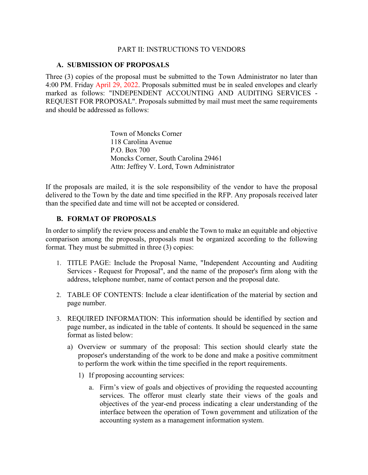#### PART II: INSTRUCTIONS TO VENDORS

#### A. SUBMISSION OF PROPOSALS

Three (3) copies of the proposal must be submitted to the Town Administrator no later than 4:00 PM. Friday April 29, 2022. Proposals submitted must be in sealed envelopes and clearly marked as follows: "INDEPENDENT ACCOUNTING AND AUDITING SERVICES - REQUEST FOR PROPOSAL". Proposals submitted by mail must meet the same requirements and should be addressed as follows:

> Town of Moncks Corner 118 Carolina Avenue P.O. Box 700 Moncks Corner, South Carolina 29461 Attn: Jeffrey V. Lord, Town Administrator

If the proposals are mailed, it is the sole responsibility of the vendor to have the proposal delivered to the Town by the date and time specified in the RFP. Any proposals received later than the specified date and time will not be accepted or considered.

#### B. FORMAT OF PROPOSALS

In order to simplify the review process and enable the Town to make an equitable and objective comparison among the proposals, proposals must be organized according to the following format. They must be submitted in three (3) copies:

- 1. TITLE PAGE: Include the Proposal Name, "Independent Accounting and Auditing Services - Request for Proposal", and the name of the proposer's firm along with the address, telephone number, name of contact person and the proposal date.
- 2. TABLE OF CONTENTS: Include a clear identification of the material by section and page number.
- 3. REQUIRED INFORMATION: This information should be identified by section and page number, as indicated in the table of contents. It should be sequenced in the same format as listed below:
	- a) Overview or summary of the proposal: This section should clearly state the proposer's understanding of the work to be done and make a positive commitment to perform the work within the time specified in the report requirements.
		- 1) If proposing accounting services:
			- a. Firm's view of goals and objectives of providing the requested accounting services. The offeror must clearly state their views of the goals and objectives of the year-end process indicating a clear understanding of the interface between the operation of Town government and utilization of the accounting system as a management information system.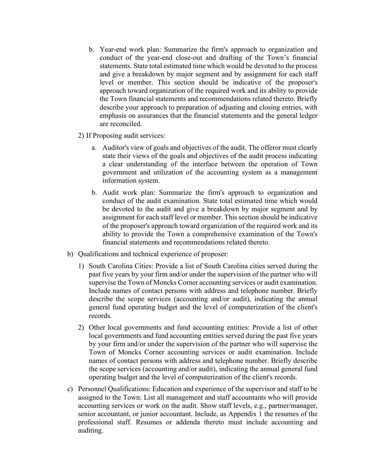- b. Year-end work plan: Summarize the firm's approach to organization and conduct of the year-end close-out and drafting of the Town's financial statements. State total estimated time which would be devoted to the process and give a breakdown by major segment and by assignment for each staff level or member. This section should be indicative of the proposer's approach toward organization of the required work and its ability to provide the Town financial statements and recommendations related thereto. Briefly describe your approach to preparation of adjusting and closing entries, with emphasis on assurances that the financial statements and the general ledger are reconciled.
- 2) If Proposing audit services:
	- a. Auditor's view of goals and objectives of the audit. The offeror must clearly state their views of the goals and objectives of the audit process indicating a clear understanding of the interface between the operation of Town government and utilization of the accounting system as a management information system.
	- b. Audit work plan: Summarize the firm's approach to organization and conduct of the audit examination. State total estimated time which would be devoted to the audit and give a breakdown by major segment and by assignment for each staff level or member. This section should be indicative of the proposer's approach toward organization of the required work and its ability to provide the Town a comprehensive examination of the Town's financial statements and recommendations related thereto.
- b) Qualifications and technical experience of proposer:
	- 1) South Carolina Cities: Provide a list of South Carolina cities served during the past five years by your firm and/or under the supervision of the partner who will supervise the Town of Moncks Corner accounting services or audit examination. Include names of contact persons with address and telephone number. Briefly describe the scope services (accounting and/or audit), indicating the annual general fund operating budget and the level of computerization of the client's records.
	- 2) Other local governments and fund accounting entities: Provide a list of other local governments and fund accounting entities served during the past five years by your firm and/or under the supervision of the partner who will supervise the Town of Moncks Corner accounting services or audit examination. Include names of contact persons with address and telephone number. Briefly describe the scope services (accounting and/or audit), indicating the annual general fund operating budget and the level of computerization of the client's records.
- c) Personnel Qualifications: Education and experience of the supervisor and staff to be assigned to the Town: List all management and staff accountants who will provide accounting services or work on the audit. Show staff levels, e.g., partner/manager, senior accountant, or junior accountant. Include, as Appendix 1 the resumes of the professional staff. Resumes or addenda thereto must include accounting and auditing.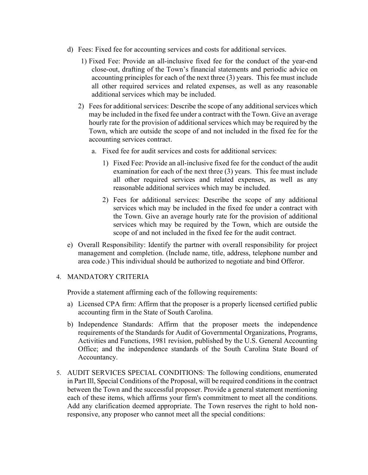- d) Fees: Fixed fee for accounting services and costs for additional services.
	- 1) Fixed Fee: Provide an all-inclusive fixed fee for the conduct of the year-end close-out, drafting of the Town's financial statements and periodic advice on accounting principles for each of the next three (3) years. This fee must include all other required services and related expenses, as well as any reasonable additional services which may be included.
	- 2) Fees for additional services: Describe the scope of any additional services which may be included in the fixed fee under a contract with the Town. Give an average hourly rate for the provision of additional services which may be required by the Town, which are outside the scope of and not included in the fixed fee for the accounting services contract.
		- a. Fixed fee for audit services and costs for additional services:
			- 1) Fixed Fee: Provide an all-inclusive fixed fee for the conduct of the audit examination for each of the next three (3) years. This fee must include all other required services and related expenses, as well as any reasonable additional services which may be included.
			- 2) Fees for additional services: Describe the scope of any additional services which may be included in the fixed fee under a contract with the Town. Give an average hourly rate for the provision of additional services which may be required by the Town, which are outside the scope of and not included in the fixed fee for the audit contract.
- e) Overall Responsibility: Identify the partner with overall responsibility for project management and completion. (Include name, title, address, telephone number and area code.) This individual should be authorized to negotiate and bind Offeror.

#### 4. MANDATORY CRITERIA

Provide a statement affirming each of the following requirements:

- a) Licensed CPA firm: Affirm that the proposer is a properly licensed certified public accounting firm in the State of South Carolina.
- b) Independence Standards: Affirm that the proposer meets the independence requirements of the Standards for Audit of Governmental Organizations, Programs, Activities and Functions, 1981 revision, published by the U.S. General Accounting Office; and the independence standards of the South Carolina State Board of Accountancy.
- 5. AUDIT SERVICES SPECIAL CONDITIONS: The following conditions, enumerated in Part Ill, Special Conditions of the Proposal, will be required conditions in the contract between the Town and the successful proposer. Provide a general statement mentioning each of these items, which affirms your firm's commitment to meet all the conditions. Add any clarification deemed appropriate. The Town reserves the right to hold nonresponsive, any proposer who cannot meet all the special conditions: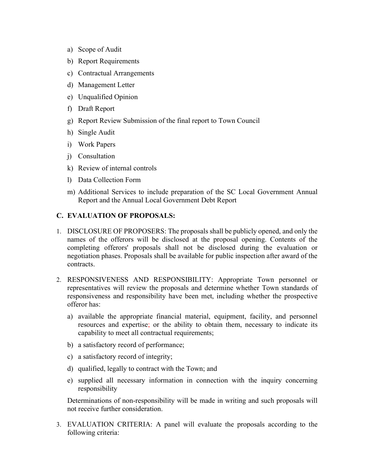- a) Scope of Audit
- b) Report Requirements
- c) Contractual Arrangements
- d) Management Letter
- e) Unqualified Opinion
- f) Draft Report
- g) Report Review Submission of the final report to Town Council
- h) Single Audit
- i) Work Papers
- j) Consultation
- k) Review of internal controls
- l) Data Collection Form
- m) Additional Services to include preparation of the SC Local Government Annual Report and the Annual Local Government Debt Report

#### C. EVALUATION OF PROPOSALS:

- 1. DISCLOSURE OF PROPOSERS: The proposals shall be publicly opened, and only the names of the offerors will be disclosed at the proposal opening. Contents of the completing offerors' proposals shall not be disclosed during the evaluation or negotiation phases. Proposals shall be available for public inspection after award of the contracts.
- 2. RESPONSIVENESS AND RESPONSIBILITY: Appropriate Town personnel or representatives will review the proposals and determine whether Town standards of responsiveness and responsibility have been met, including whether the prospective offeror has:
	- a) available the appropriate financial material, equipment, facility, and personnel resources and expertise; or the ability to obtain them, necessary to indicate its capability to meet all contractual requirements;
	- b) a satisfactory record of performance;
	- c) a satisfactory record of integrity;
	- d) qualified, legally to contract with the Town; and
	- e) supplied all necessary information in connection with the inquiry concerning responsibility

Determinations of non-responsibility will be made in writing and such proposals will not receive further consideration.

3. EVALUATION CRITERIA: A panel will evaluate the proposals according to the following criteria: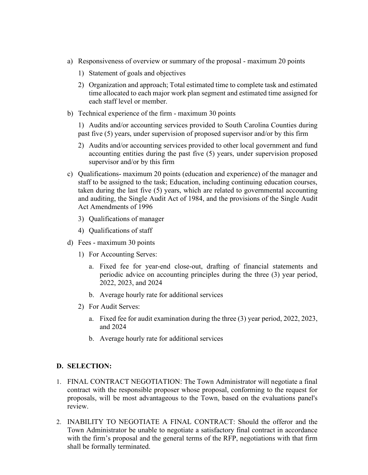- a) Responsiveness of overview or summary of the proposal maximum 20 points
	- 1) Statement of goals and objectives
	- 2) Organization and approach; Total estimated time to complete task and estimated time allocated to each major work plan segment and estimated time assigned for each staff level or member.
- b) Technical experience of the firm maximum 30 points

1) Audits and/or accounting services provided to South Carolina Counties during past five (5) years, under supervision of proposed supervisor and/or by this firm

- 2) Audits and/or accounting services provided to other local government and fund accounting entities during the past five (5) years, under supervision proposed supervisor and/or by this firm
- c) Qualifications- maximum 20 points (education and experience) of the manager and staff to be assigned to the task; Education, including continuing education courses, taken during the last five (5) years, which are related to governmental accounting and auditing, the Single Audit Act of 1984, and the provisions of the Single Audit Act Amendments of 1996
	- 3) Qualifications of manager
	- 4) Qualifications of staff
- d) Fees maximum 30 points
	- 1) For Accounting Serves:
		- a. Fixed fee for year-end close-out, drafting of financial statements and periodic advice on accounting principles during the three (3) year period, 2022, 2023, and 2024
		- b. Average hourly rate for additional services
	- 2) For Audit Serves:
		- a. Fixed fee for audit examination during the three (3) year period, 2022, 2023, and 2024
		- b. Average hourly rate for additional services

# D. SELECTION:

- 1. FINAL CONTRACT NEGOTIATION: The Town Administrator will negotiate a final contract with the responsible proposer whose proposal, conforming to the request for proposals, will be most advantageous to the Town, based on the evaluations panel's review.
- 2. INABILITY TO NEGOTIATE A FINAL CONTRACT: Should the offeror and the Town Administrator be unable to negotiate a satisfactory final contract in accordance with the firm's proposal and the general terms of the RFP, negotiations with that firm shall be formally terminated.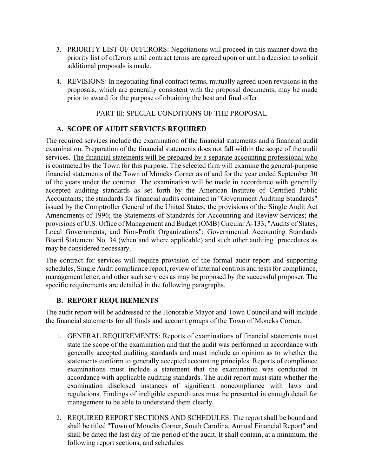- 3. PRIORITY LIST OF OFFERORS: Negotiations will proceed in this manner down the priority list of offerors until contract terms are agreed upon or until a decision to solicit additional proposals is made.
- 4. REVISIONS: In negotiating final contract terms, mutually agreed upon revisions in the proposals, which are generally consistent with the proposal documents, may be made prior to award for the purpose of obtaining the best and final offer.

#### PART Ill: SPECIAL CONDITIONS OF THE PROPOSAL

### A. SCOPE OF AUDIT SERVICES REQUIRED

The required services include the examination of the financial statements and a financial audit examination. Preparation of the financial statements does not fall within the scope of the audit services. The financial statements will be prepared by a separate accounting professional who is contracted by the Town for this purpose. The selected firm will examine the general-purpose financial statements of the Town of Moncks Corner as of and for the year ended September 30 of the years under the contract. The examination will be made in accordance with generally accepted auditing standards as set forth by the American Institute of Certified Public Accountants; the standards for financial audits contained in "Government Auditing Standards" issued by the Comptroller General of the United States; the provisions of the Single Audit Act Amendments of 1996; the Statements of Standards for Accounting and Review Services; the provisions of U.S. Office of Management and Budget (OMB) Circular A-133, "Audits of States, Local Governments, and Non-Profit Organizations"; Governmental Accounting Standards Board Statement No. 34 (when and where applicable) and such other auditing procedures as may be considered necessary.

The contract for services will require provision of the formal audit report and supporting schedules, Single Audit compliance report, review of internal controls and tests for compliance, management letter, and other such services as may be proposed by the successful proposer. The specific requirements are detailed in the following paragraphs.

# B. REPORT REQUIREMENTS

The audit report will be addressed to the Honorable Mayor and Town Council and will include the financial statements for all funds and account groups of the Town of Moncks Corner.

- 1. GENERAL REQUIREMENTS: Reports of examinations of financial statements must state the scope of the examination and that the audit was performed in accordance with generally accepted auditing standards and must include an opinion as to whether the statements conform to generally accepted accounting principles. Reports of compliance examinations must include a statement that the examination was conducted in accordance with applicable auditing standards. The audit report must state whether the examination disclosed instances of significant noncompliance with laws and regulations. Findings of ineligible expenditures must be presented in enough detail for management to be able to understand them clearly.
- 2. REQUIRED REPORT SECTIONS AND SCHEDULES: The report shall be bound and shall be titled "Town of Moncks Corner, South Carolina, Annual Financial Report" and shall be dated the last day of the period of the audit. It shall contain, at a minimum, the following report sections, and schedules: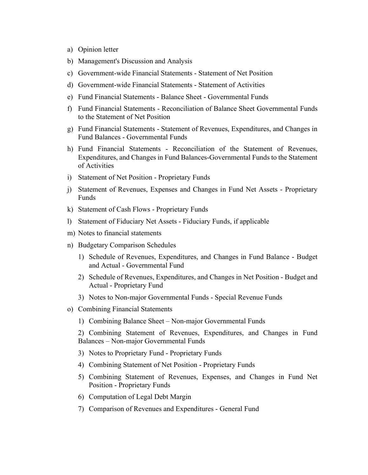- a) Opinion letter
- b) Management's Discussion and Analysis
- c) Government-wide Financial Statements Statement of Net Position
- d) Government-wide Financial Statements Statement of Activities
- e) Fund Financial Statements Balance Sheet Governmental Funds
- f) Fund Financial Statements Reconciliation of Balance Sheet Governmental Funds to the Statement of Net Position
- g) Fund Financial Statements Statement of Revenues, Expenditures, and Changes in Fund Balances - Governmental Funds
- h) Fund Financial Statements Reconciliation of the Statement of Revenues, Expenditures, and Changes in Fund Balances-Governmental Funds to the Statement of Activities
- i) Statement of Net Position Proprietary Funds
- j) Statement of Revenues, Expenses and Changes in Fund Net Assets Proprietary Funds
- k) Statement of Cash Flows Proprietary Funds
- l) Statement of Fiduciary Net Assets Fiduciary Funds, if applicable
- m) Notes to financial statements
- n) Budgetary Comparison Schedules
	- 1) Schedule of Revenues, Expenditures, and Changes in Fund Balance Budget and Actual - Governmental Fund
	- 2) Schedule of Revenues, Expenditures, and Changes in Net Position Budget and Actual - Proprietary Fund
	- 3) Notes to Non-major Governmental Funds Special Revenue Funds
- o) Combining Financial Statements
	- 1) Combining Balance Sheet Non-major Governmental Funds

2) Combining Statement of Revenues, Expenditures, and Changes in Fund Balances – Non-major Governmental Funds

- 3) Notes to Proprietary Fund Proprietary Funds
- 4) Combining Statement of Net Position Proprietary Funds
- 5) Combining Statement of Revenues, Expenses, and Changes in Fund Net Position - Proprietary Funds
- 6) Computation of Legal Debt Margin
- 7) Comparison of Revenues and Expenditures General Fund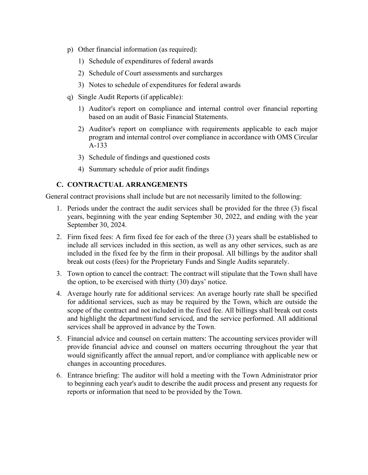- p) Other financial information (as required):
	- 1) Schedule of expenditures of federal awards
	- 2) Schedule of Court assessments and surcharges
	- 3) Notes to schedule of expenditures for federal awards
- q) Single Audit Reports (if applicable):
	- 1) Auditor's report on compliance and internal control over financial reporting based on an audit of Basic Financial Statements.
	- 2) Auditor's report on compliance with requirements applicable to each major program and internal control over compliance in accordance with OMS Circular A-133
	- 3) Schedule of findings and questioned costs
	- 4) Summary schedule of prior audit findings

# C. CONTRACTUAL ARRANGEMENTS

General contract provisions shall include but are not necessarily limited to the following:

- 1. Periods under the contract the audit services shall be provided for the three (3) fiscal years, beginning with the year ending September 30, 2022, and ending with the year September 30, 2024.
- 2. Firm fixed fees: A firm fixed fee for each of the three (3) years shall be established to include all services included in this section, as well as any other services, such as are included in the fixed fee by the firm in their proposal. All billings by the auditor shall break out costs (fees) for the Proprietary Funds and Single Audits separately.
- 3. Town option to cancel the contract: The contract will stipulate that the Town shall have the option, to be exercised with thirty (30) days' notice.
- 4. Average hourly rate for additional services: An average hourly rate shall be specified for additional services, such as may be required by the Town, which are outside the scope of the contract and not included in the fixed fee. All billings shall break out costs and highlight the department/fund serviced, and the service performed. All additional services shall be approved in advance by the Town.
- 5. Financial advice and counsel on certain matters: The accounting services provider will provide financial advice and counsel on matters occurring throughout the year that would significantly affect the annual report, and/or compliance with applicable new or changes in accounting procedures.
- 6. Entrance briefing: The auditor will hold a meeting with the Town Administrator prior to beginning each year's audit to describe the audit process and present any requests for reports or information that need to be provided by the Town.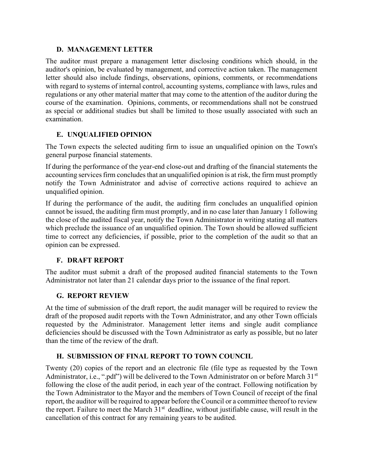### D. MANAGEMENT LETTER

The auditor must prepare a management letter disclosing conditions which should, in the auditor's opinion, be evaluated by management, and corrective action taken. The management letter should also include findings, observations, opinions, comments, or recommendations with regard to systems of internal control, accounting systems, compliance with laws, rules and regulations or any other material matter that may come to the attention of the auditor during the course of the examination. Opinions, comments, or recommendations shall not be construed as special or additional studies but shall be limited to those usually associated with such an examination.

# E. UNQUALIFIED OPINION

The Town expects the selected auditing firm to issue an unqualified opinion on the Town's general purpose financial statements.

If during the performance of the year-end close-out and drafting of the financial statements the accounting services firm concludes that an unqualified opinion is at risk, the firm must promptly notify the Town Administrator and advise of corrective actions required to achieve an unqualified opinion.

If during the performance of the audit, the auditing firm concludes an unqualified opinion cannot be issued, the auditing firm must promptly, and in no case later than January 1 following the close of the audited fiscal year, notify the Town Administrator in writing stating all matters which preclude the issuance of an unqualified opinion. The Town should be allowed sufficient time to correct any deficiencies, if possible, prior to the completion of the audit so that an opinion can be expressed.

# F. DRAFT REPORT

The auditor must submit a draft of the proposed audited financial statements to the Town Administrator not later than 21 calendar days prior to the issuance of the final report.

# G. REPORT REVIEW

At the time of submission of the draft report, the audit manager will be required to review the draft of the proposed audit reports with the Town Administrator, and any other Town officials requested by the Administrator. Management letter items and single audit compliance deficiencies should be discussed with the Town Administrator as early as possible, but no later than the time of the review of the draft.

# H. SUBMISSION OF FINAL REPORT TO TOWN COUNCIL

Twenty (20) copies of the report and an electronic file (file type as requested by the Town Administrator, i.e., ".pdf") will be delivered to the Town Administrator on or before March 31st following the close of the audit period, in each year of the contract. Following notification by the Town Administrator to the Mayor and the members of Town Council of receipt of the final report, the auditor will be required to appear before the Council or a committee thereof to review the report. Failure to meet the March 31<sup>st</sup> deadline, without justifiable cause, will result in the cancellation of this contract for any remaining years to be audited.